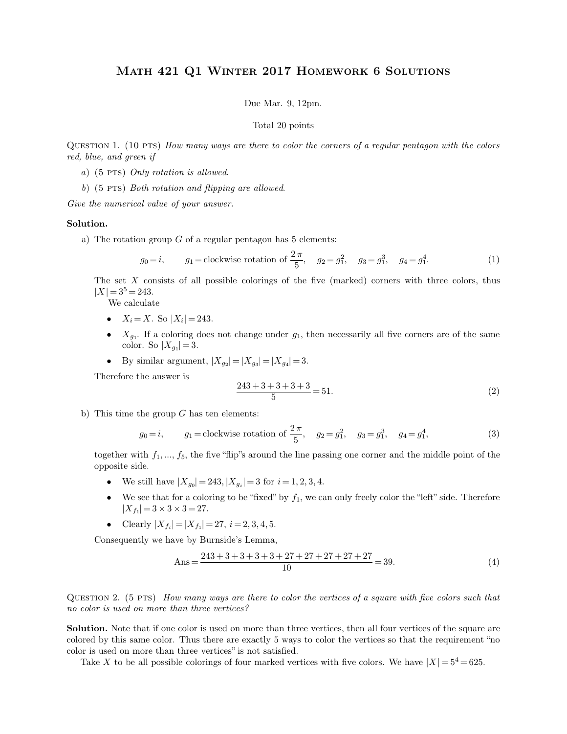Due Mar. 9, 12pm.<br>
Total 20 points<br>
QUESTION 1. (10 PTS) *How many ways are there to color the corners of a regular pentagon with the colors*<br> *red, blue, and green if QUESTION 1.* (10 PTS) *How red, blue, and green if*<br>*a*) (5 PTS) *Only rotation* **a**<br> **a**) (5 pts) *Only rotation is allowed.*<br> *a*) (5 pts) *Only rotation is allowed.*<br> *b*) (5 pts) *Both rotation and flipping are* **blue, and green if**<br> **c**) (5 PTS) *Only rotation is allowed.*<br> **b**) (5 PTS) *Both rotation and flipping are allowed.*<br> **e** the numerical value of your answer. *Fed, blue, and green if*<br> *Give the numerical value of your answer.*<br> *Give the numerical value of your answer.* 

- 
- 

## **Solution.**

b) (5 PTS) *Both rotation and flipping are allowed.*<br> *e the numerical value of your answer.*<br> **a)** The rotation group *G* of a regular pentagon has 5 elements:<br>  $\frac{2\pi}{\pi}$  and  $\frac{2}{\pi}$  and  $\frac{2}{\pi}$  and  $\frac{2}{\pi}$  a

and value of your answer.

\nOn group 
$$
G
$$
 of a regular pentagon has 5 elements:

\n
$$
g_0 = i, \qquad g_1 = \text{clockwise rotation of } \frac{2\pi}{5}, \quad g_2 = g_1^2, \quad g_3 = g_1^3, \quad g_4 = g_1^4. \tag{1}
$$
\nconsists of all possible colorings of the five (marked) corners with three colors thus.

The rotation group *G* of a regular pentagon has 5 elements:<br>  $g_0 = i$ ,  $g_1 = \text{clockwise rotation of } \frac{2\pi}{5}$ ,  $g_2 = g_1^2$ ,  $g_3 = g_1^3$ ,  $g_4 = g_1^4$ . (1)<br>
The set *X* consists of all possible colorings of the five (marked) corners with The rotation group *G* of a<br>  $g_0 = i$ ,  $g_1 =$ <br>
The set *X* consists of all<br>  $|X| = 3^5 = 243$ .<br>
We calculate<br>
•  $X_i = X$ . So  $|X_i| = 2$ <br>
•  $X_a$ . If a coloring d . If consists of all possible colorings of the five (marked) corners with three colors, thus 243.<br>
culate  $=X$ . So  $|X_i|=243$ .<br>
If a coloring does not change under  $g_1$ , then necessarily all five corners are of the same or

- $X_i = X$ . So  $|X_i| = 243$ .
- $X_{g_1}$ . If a  $| = 3<sup>5</sup> = 243.$ <br> **●**  $X_i = X$ . So  $|X_i| = 243.$ <br> **●**  $X_{g_1}$ . If a coloring does not charcelor. So  $|X_{g_1}| = 3.$ <br>
● By similar argument,  $|X_{g_2}| = |X|$ <br>
erefore the answer is •  $X_i = X$ . So  $|X_i| = 243$ .<br>
•  $X_{g_1}$ . If a coloring does not change under  $g_1$ , then neces color. So  $|X_{g_1}| = 3$ .<br>
• By similar argument,  $|X_{g_2}| = |X_{g_3}| = |X_{g_4}| = 3$ .<br>
Therefore the answer is<br>  $\frac{243 + 3 + 3 + 3}{5} = 51$
- By similar argument,  $|X_{g_2}| = |X_{g_3}| = |X_{g_4}| = 3$ .<br>Therefore the answer is<br> $\frac{243 + 3 + 3 + 3 + 3}{5} =$ <br>b) This time the group *G* has ten elements:

change under 
$$
g_1
$$
, then necessarily all five corners are of the same  
\n
$$
= |X_{g_3}| = |X_{g_4}| = 3.
$$
\n
$$
\frac{243 + 3 + 3 + 3 + 3}{5} = 51.
$$
\n(2)  
\nments:  
\nse rotation of  $\frac{2\pi}{5}$ ,  $g_2 = g_1^2$ ,  $g_3 = g_1^3$ ,  $g_4 = g_1^4$ , (3)  
\n $p$ "s around the line passing one corner and the middle point of the

$$
\frac{243 + 3 + 3 + 3}{5} = 51.
$$
 (2)  
the group *G* has ten elements:  
 $g_0 = i$ ,  $g_1$  = clockwise rotation of  $\frac{2\pi}{5}$ ,  $g_2 = g_1^2$ ,  $g_3 = g_1^3$ ,  $g_4 = g_1^4$ , (3)  
with  $f_1$ ,  $f_2$  the five "fin"s around the line passing one corner and the middle point of the

together with  $f_1, ..., f_5$ , the five "flip"s around the line passing one corner and the middle point of the opposite side. (3) This time the group *G* has ten<br>  $g_0 = i$ ,  $g_1 = \text{cloc}$ <br>
together with  $f_1, ..., f_5$ , the five<br>
opposite side.<br>
• We still have  $|X_{g_0}| = 24$ <br>
• We see that for a colorin

- 
- We see that for a coloring to be "fixed" by  $f_1$ , we can only freely color the "left" side. Therefore  $|X_{f_1}| = 3 \times 3 \times 3 = 27.$ **j** = 3  $\frac{1}{2}$  = 3  $\frac{1}{2}$   $\frac{1}{2}$  = 3  $\frac{1}{2}$  3  $\frac{1}{2}$  = 3  $\frac{1}{2}$  3  $\frac{1}{2}$  = 3  $\frac{1}{2}$  = 3  $\frac{1}{2}$  = 3  $\frac{1}{2}$  = 3  $\frac{1}{2}$  = 3  $\frac{1}{2}$  = 3  $\frac{1}{2}$  = 3  $\frac{1}{2}$  = 17.  $i = 2$  = 27. • We still have  $|X_{g_0}| = 243, |X_{g_i}| = 3$  for  $i = 1$ <br>
• We see that for a coloring to be "fixed" by  $f$ <br>  $|X_{f_1}| = 3 \times 3 \times 3 = 27$ .<br>
• Clearly  $|X_{f_i}| = |X_{f_1}| = 27$ ,  $i = 2, 3, 4, 5$ .<br> *Consequently we have by Burnside's Lemm* 
	-

$$
\times 3 = 27.
$$
  
=  $|X_{f_1}| = 27$ ,  $i = 2, 3, 4, 5$ .  
we by Burnside's Lemma,  

$$
Ans = \frac{243 + 3 + 3 + 3 + 3 + 27 + 27 + 27 + 27 + 27}{10} = 39.
$$
 (4)

Consequently we have by Burnside's Lemma,<br>  $Ans = \frac{243 + 3 + 3 + 3 + 27 + 27 + 27 + 27 + 27}{10} = 39.$  (4)<br>
QUESTION 2. (5 PTS) *How many ways are there to color the vertices of a square with five colors such that*<br> *no color is use no color is used on more than three vertices?*

QUESTION 2. (5 PTS) How many ways are there to color the vertices of a square with five colors such that no color is used on more than three vertices?<br>**Solution.** Note that if one color is used on more than three vertices, QUESTION 2. (5 PTS) How many ways are there to color the vertices of a square with five colors such that no color is used on more than three vertices?<br>**Solution.** Note that if one color is used on more than three vertices, QUESTION 2. (5 PTS) How many ways are there to color the<br>no color is used on more than three vertices?<br>Solution. Note that if one color is used on more than three ve<br>colored by this same color. Thus there are exactly 5 wa color is used on more than three vertices?<br> **ution.** Note that if one color is used on more than three vertices, then all four vertices of the square are<br>
or d by this same color. Thus there are exactly 5 ways to color th